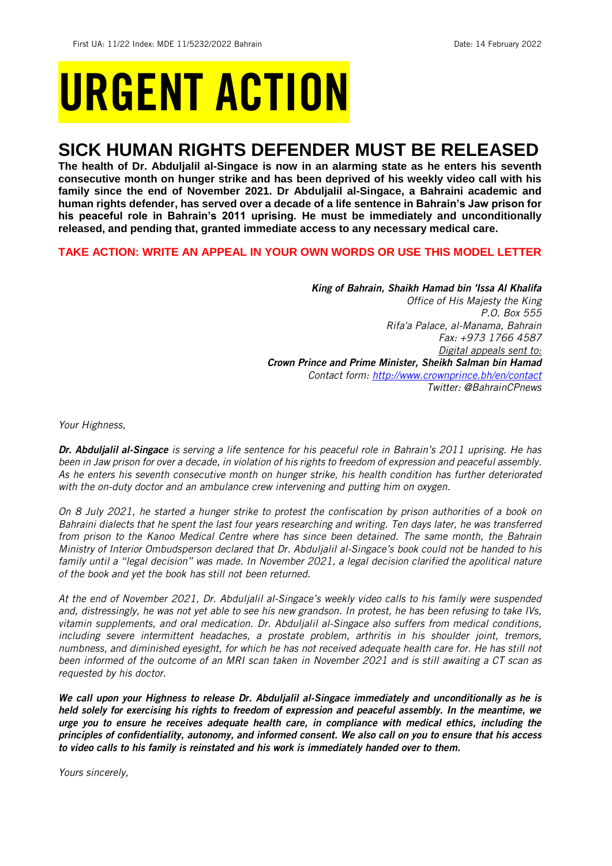# URGENT ACTION

## **SICK HUMAN RIGHTS DEFENDER MUST BE RELEASED**

**The health of Dr. Abduljalil al-Singace is now in an alarming state as he enters his seventh consecutive month on hunger strike and has been deprived of his weekly video call with his family since the end of November 2021. Dr Abduljalil al-Singace, a Bahraini academic and human rights defender, has served over a decade of a life sentence in Bahrain's Jaw prison for his peaceful role in Bahrain's 2011 uprising. He must be immediately and unconditionally released, and pending that, granted immediate access to any necessary medical care.**

## **TAKE ACTION: WRITE AN APPEAL IN YOUR OWN WORDS OR USE THIS MODEL LETTER**

*King of Bahrain, Shaikh Hamad bin 'Issa Al Khalifa Office of His Majesty the King P.O. Box 555 Rifa'a Palace, al-Manama, Bahrain Fax: +973 1766 4587 Digital appeals sent to: Crown Prince and Prime Minister, Sheikh Salman bin Hamad Contact form:<http://www.crownprince.bh/en/contact> Twitter: @BahrainCPnews*

*Your Highness,*

*Dr. Abduljalil al-Singace is serving a life sentence for his peaceful role in Bahrain's 2011 uprising. He has been in Jaw prison for over a decade, in violation of his rights to freedom of expression and peaceful assembly. As he enters his seventh consecutive month on hunger strike, his health condition has further deteriorated with the on-duty doctor and an ambulance crew intervening and putting him on oxygen.*

*On 8 July 2021, he started a hunger strike to protest the confiscation by prison authorities of a book on Bahraini dialects that he spent the last four years researching and writing. Ten days later, he was transferred from prison to the Kanoo Medical Centre where has since been detained. The same month, the Bahrain Ministry of Interior Ombudsperson declared that Dr. Abduljalil al-Singace's book could not be handed to his family until a "legal decision" was made. In November 2021, a legal decision clarified the apolitical nature of the book and yet the book has still not been returned.*

*At the end of November 2021, Dr. Abduljalil al-Singace's weekly video calls to his family were suspended and, distressingly, he was not yet able to see his new grandson. In protest, he has been refusing to take IVs, vitamin supplements, and oral medication. Dr. Abduljalil al-Singace also suffers from medical conditions, including severe intermittent headaches, a prostate problem, arthritis in his shoulder joint, tremors, numbness, and diminished eyesight, for which he has not received adequate health care for. He has still not been informed of the outcome of an MRI scan taken in November 2021 and is still awaiting a CT scan as requested by his doctor.*

*We call upon your Highness to release Dr. Abduljalil al-Singace immediately and unconditionally as he is held solely for exercising his rights to freedom of expression and peaceful assembly. In the meantime, we urge you to ensure he receives adequate health care, in compliance with medical ethics, including the principles of confidentiality, autonomy, and informed consent. We also call on you to ensure that his access to video calls to his family is reinstated and his work is immediately handed over to them.*

*Yours sincerely,*